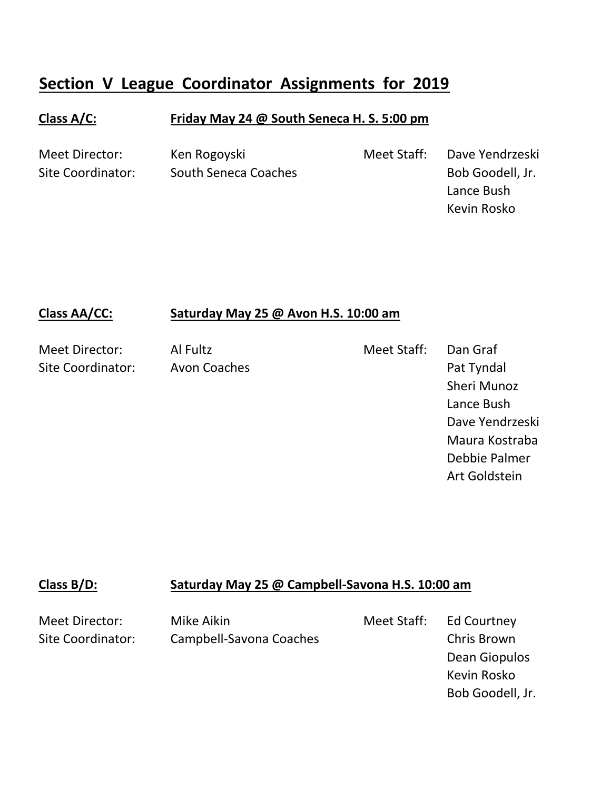# **Section V League Coordinator Assignments for 2019**

### **Class A/C: Friday May 24 @ South Seneca H. S. 5:00 pm**

Meet Director: Ken Rogoyski Meet Staff: Dave Yendrzeski Site Coordinator: South Seneca Coaches and South Senecal Coaches Bob Goodell, Jr.

Lance Bush Kevin Rosko

#### **Class AA/CC: Saturday May 25 @ Avon H.S. 10:00 am**

Meet Director: Al Fultz Meet Staff: Dan Graf Site Coordinator: Avon Coaches **Pat Tyndal** Sheri Munoz Lance Bush Dave Yendrzeski Maura Kostraba Debbie Palmer Art Goldstein

#### **Class B/D: Saturday May 25 @ Campbell-Savona H.S. 10:00 am**

Meet Director: Mike Aikin Meet Staff: Ed Courtney Site Coordinator: Campbell-Savona Coaches Chris Brown

Dean Giopulos Kevin Rosko Bob Goodell, Jr.